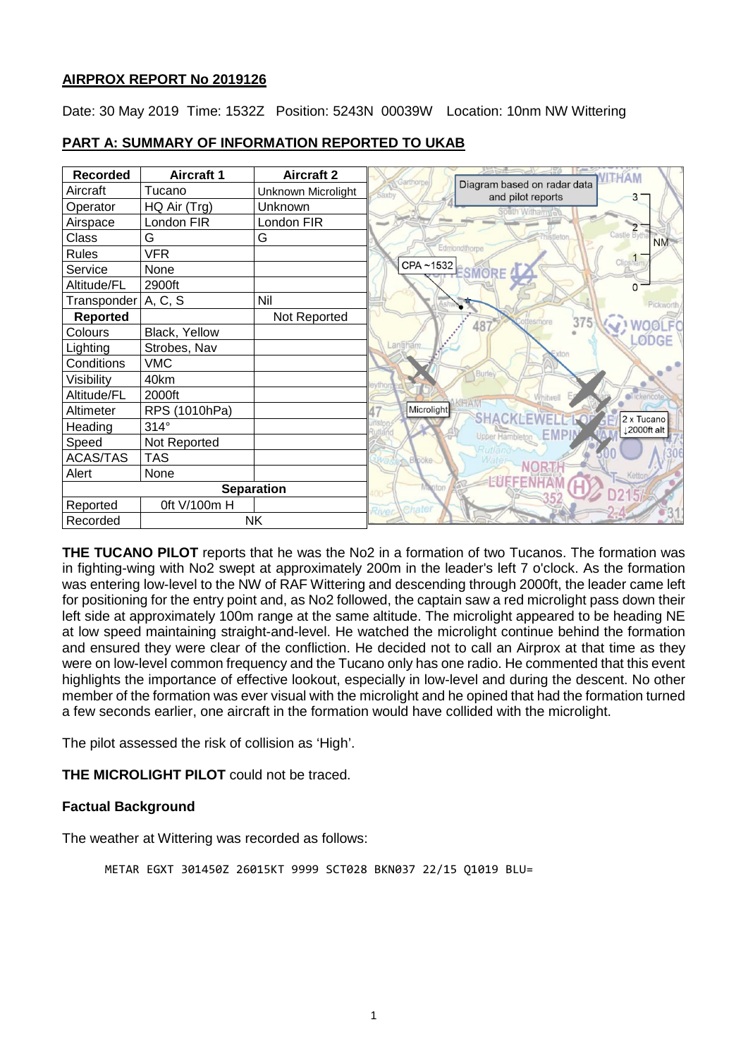## **AIRPROX REPORT No 2019126**

Date: 30 May 2019 Time: 1532Z Position: 5243N 00039W Location: 10nm NW Wittering

| <b>Recorded</b>       | <b>Aircraft 1</b> | <b>Aircraft 2</b>  | Garthorn                                                  |
|-----------------------|-------------------|--------------------|-----------------------------------------------------------|
| Aircraft              | Tucano            | Unknown Microlight | Diagram based on radar data<br>Saxby<br>and pilot reports |
| Operator              | HQ Air (Trg)      | Unknown            | south Withamy                                             |
| Airspace              | London FIR        | London FIR         | <b>The Col</b>                                            |
| Class                 | G                 | G                  | Castle Byt<br><b>NM</b>                                   |
| Rules                 | <b>VFR</b>        |                    | Edmondthorpe                                              |
| Service               | None              |                    | Clipsham<br>CPA~1532 ESMORE                               |
| Altitude/FL           | 2900ft            |                    | $\Omega$                                                  |
| Transponder   A, C, S |                   | Nil                | Pickworth                                                 |
| Reported              |                   | Not Reported       | 375<br>ttesmore                                           |
| Colours               | Black, Yellow     |                    | 48<br><b>ØDGE</b>                                         |
| Lighting              | Strobes, Nav      |                    | Langhan                                                   |
| Conditions            | <b>VMC</b>        |                    |                                                           |
| Visibility            | 40km              |                    | <b>Burle</b>                                              |
| Altitude/FL           | 2000ft            |                    | ickencol                                                  |
| Altimeter             | RPS (1010hPa)     |                    | Microlight<br>SHACKLEWELL<br>2 x Tucano                   |
| Heading               | $314^\circ$       |                    | 2000ft alt<br>Upper Hambleton EMP                         |
| Speed                 | Not Reported      |                    |                                                           |
| <b>ACAS/TAS</b>       | <b>TAS</b>        |                    | <b>Blooke</b>                                             |
| Alert                 | None              |                    | <b>EUFFENH</b>                                            |
| <b>Separation</b>     |                   |                    | Vianton                                                   |
| Reported              | 0ft V/100m H      |                    | Chater<br>River                                           |
| Recorded              | <b>NK</b>         |                    |                                                           |

# **PART A: SUMMARY OF INFORMATION REPORTED TO UKAB**

**THE TUCANO PILOT** reports that he was the No2 in a formation of two Tucanos. The formation was in fighting-wing with No2 swept at approximately 200m in the leader's left 7 o'clock. As the formation was entering low-level to the NW of RAF Wittering and descending through 2000ft, the leader came left for positioning for the entry point and, as No2 followed, the captain saw a red microlight pass down their left side at approximately 100m range at the same altitude. The microlight appeared to be heading NE at low speed maintaining straight-and-level. He watched the microlight continue behind the formation and ensured they were clear of the confliction. He decided not to call an Airprox at that time as they were on low-level common frequency and the Tucano only has one radio. He commented that this event highlights the importance of effective lookout, especially in low-level and during the descent. No other member of the formation was ever visual with the microlight and he opined that had the formation turned a few seconds earlier, one aircraft in the formation would have collided with the microlight.

The pilot assessed the risk of collision as 'High'.

**THE MICROLIGHT PILOT** could not be traced.

# **Factual Background**

The weather at Wittering was recorded as follows:

METAR EGXT 301450Z 26015KT 9999 SCT028 BKN037 22/15 Q1019 BLU=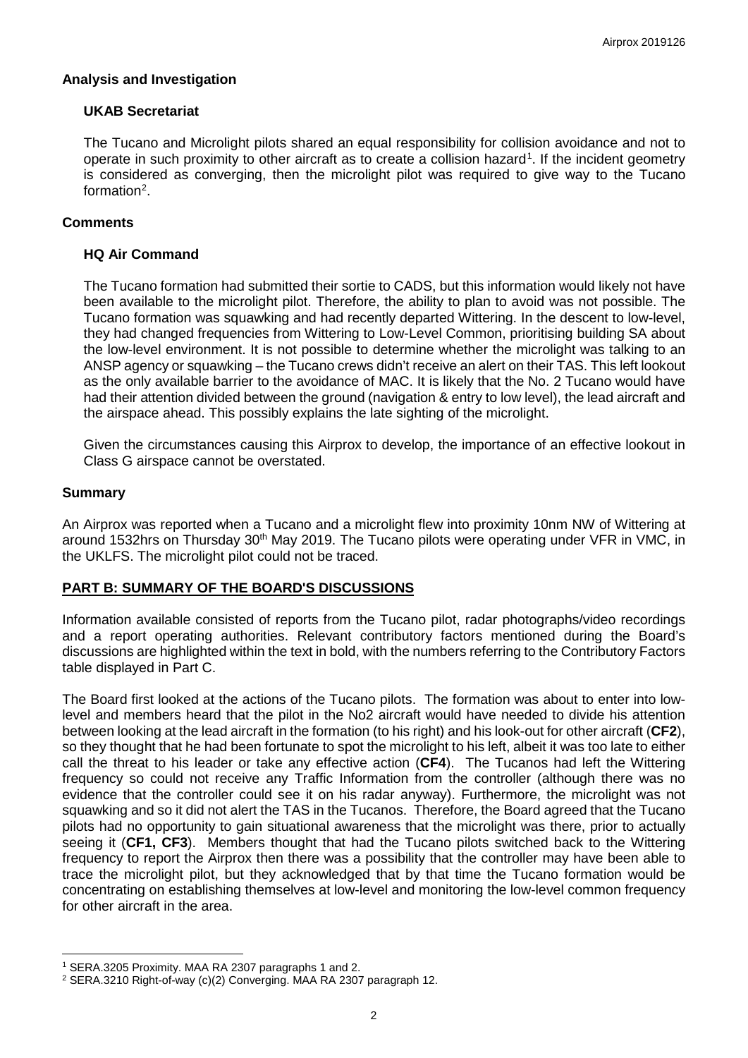## **Analysis and Investigation**

## **UKAB Secretariat**

The Tucano and Microlight pilots shared an equal responsibility for collision avoidance and not to operate in such proximity to other aircraft as to create a collision hazard<sup>[1](#page-1-0)</sup>. If the incident geometry is considered as converging, then the microlight pilot was required to give way to the Tucano formation<sup>[2](#page-1-1)</sup>.

## **Comments**

## **HQ Air Command**

The Tucano formation had submitted their sortie to CADS, but this information would likely not have been available to the microlight pilot. Therefore, the ability to plan to avoid was not possible. The Tucano formation was squawking and had recently departed Wittering. In the descent to low-level, they had changed frequencies from Wittering to Low-Level Common, prioritising building SA about the low-level environment. It is not possible to determine whether the microlight was talking to an ANSP agency or squawking – the Tucano crews didn't receive an alert on their TAS. This left lookout as the only available barrier to the avoidance of MAC. It is likely that the No. 2 Tucano would have had their attention divided between the ground (navigation & entry to low level), the lead aircraft and the airspace ahead. This possibly explains the late sighting of the microlight.

Given the circumstances causing this Airprox to develop, the importance of an effective lookout in Class G airspace cannot be overstated.

### **Summary**

 $\overline{\phantom{a}}$ 

An Airprox was reported when a Tucano and a microlight flew into proximity 10nm NW of Wittering at around 1532hrs on Thursday 30<sup>th</sup> May 2019. The Tucano pilots were operating under VFR in VMC, in the UKLFS. The microlight pilot could not be traced.

### **PART B: SUMMARY OF THE BOARD'S DISCUSSIONS**

Information available consisted of reports from the Tucano pilot, radar photographs/video recordings and a report operating authorities. Relevant contributory factors mentioned during the Board's discussions are highlighted within the text in bold, with the numbers referring to the Contributory Factors table displayed in Part C.

The Board first looked at the actions of the Tucano pilots. The formation was about to enter into lowlevel and members heard that the pilot in the No2 aircraft would have needed to divide his attention between looking at the lead aircraft in the formation (to his right) and his look-out for other aircraft (**CF2**), so they thought that he had been fortunate to spot the microlight to his left, albeit it was too late to either call the threat to his leader or take any effective action (**CF4**). The Tucanos had left the Wittering frequency so could not receive any Traffic Information from the controller (although there was no evidence that the controller could see it on his radar anyway). Furthermore, the microlight was not squawking and so it did not alert the TAS in the Tucanos. Therefore, the Board agreed that the Tucano pilots had no opportunity to gain situational awareness that the microlight was there, prior to actually seeing it (**CF1, CF3**). Members thought that had the Tucano pilots switched back to the Wittering frequency to report the Airprox then there was a possibility that the controller may have been able to trace the microlight pilot, but they acknowledged that by that time the Tucano formation would be concentrating on establishing themselves at low-level and monitoring the low-level common frequency for other aircraft in the area.

<span id="page-1-0"></span><sup>1</sup> SERA.3205 Proximity. MAA RA 2307 paragraphs 1 and 2.

<span id="page-1-1"></span><sup>2</sup> SERA.3210 Right-of-way (c)(2) Converging. MAA RA 2307 paragraph 12.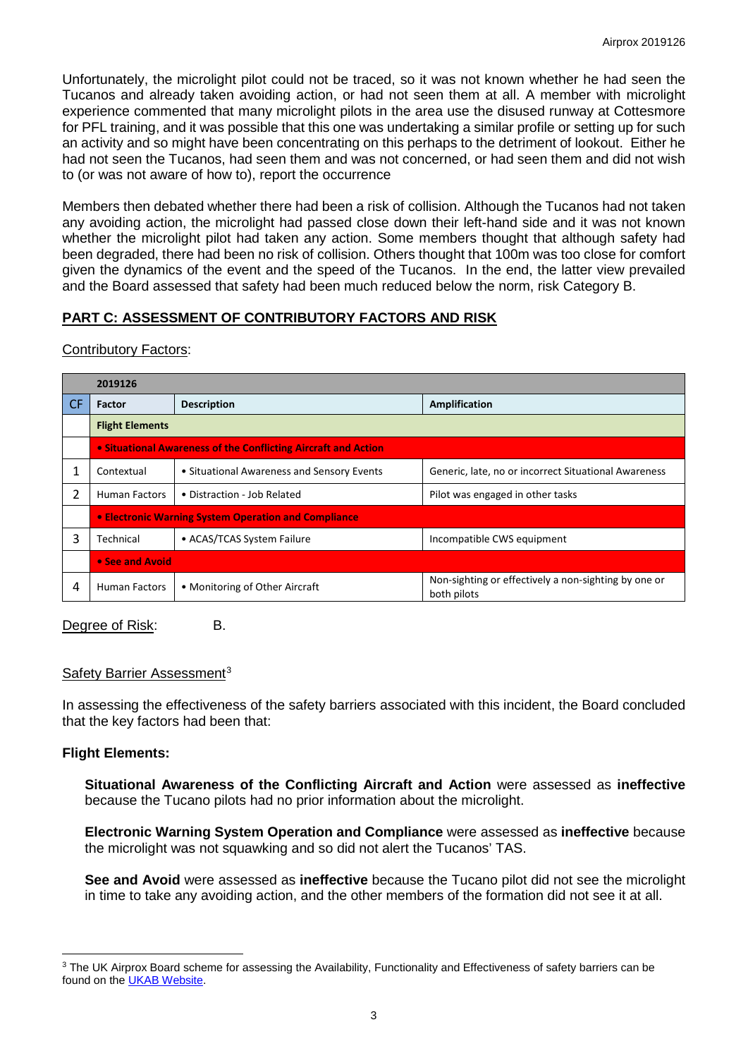Unfortunately, the microlight pilot could not be traced, so it was not known whether he had seen the Tucanos and already taken avoiding action, or had not seen them at all. A member with microlight experience commented that many microlight pilots in the area use the disused runway at Cottesmore for PFL training, and it was possible that this one was undertaking a similar profile or setting up for such an activity and so might have been concentrating on this perhaps to the detriment of lookout. Either he had not seen the Tucanos, had seen them and was not concerned, or had seen them and did not wish to (or was not aware of how to), report the occurrence

Members then debated whether there had been a risk of collision. Although the Tucanos had not taken any avoiding action, the microlight had passed close down their left-hand side and it was not known whether the microlight pilot had taken any action. Some members thought that although safety had been degraded, there had been no risk of collision. Others thought that 100m was too close for comfort given the dynamics of the event and the speed of the Tucanos. In the end, the latter view prevailed and the Board assessed that safety had been much reduced below the norm, risk Category B.

# **PART C: ASSESSMENT OF CONTRIBUTORY FACTORS AND RISK**

|           | 2019126                                                        |                                            |                                                                     |  |  |  |
|-----------|----------------------------------------------------------------|--------------------------------------------|---------------------------------------------------------------------|--|--|--|
| <b>CF</b> | <b>Factor</b>                                                  | <b>Description</b>                         | Amplification                                                       |  |  |  |
|           | <b>Flight Elements</b>                                         |                                            |                                                                     |  |  |  |
|           | • Situational Awareness of the Conflicting Aircraft and Action |                                            |                                                                     |  |  |  |
|           | Contextual                                                     | • Situational Awareness and Sensory Events | Generic, late, no or incorrect Situational Awareness                |  |  |  |
| 2         | <b>Human Factors</b>                                           | • Distraction - Job Related                | Pilot was engaged in other tasks                                    |  |  |  |
|           | • Electronic Warning System Operation and Compliance           |                                            |                                                                     |  |  |  |
| ς         | Technical                                                      | • ACAS/TCAS System Failure                 | Incompatible CWS equipment                                          |  |  |  |
|           | • See and Avoid                                                |                                            |                                                                     |  |  |  |
| 4         | Human Factors                                                  | • Monitoring of Other Aircraft             | Non-sighting or effectively a non-sighting by one or<br>both pilots |  |  |  |

Contributory Factors:

Degree of Risk: B.

### Safety Barrier Assessment<sup>[3](#page-2-0)</sup>

In assessing the effectiveness of the safety barriers associated with this incident, the Board concluded that the key factors had been that:

## **Flight Elements:**

 $\overline{\phantom{a}}$ 

**Situational Awareness of the Conflicting Aircraft and Action** were assessed as **ineffective** because the Tucano pilots had no prior information about the microlight.

**Electronic Warning System Operation and Compliance** were assessed as **ineffective** because the microlight was not squawking and so did not alert the Tucanos' TAS.

**See and Avoid** were assessed as **ineffective** because the Tucano pilot did not see the microlight in time to take any avoiding action, and the other members of the formation did not see it at all.

<span id="page-2-0"></span><sup>&</sup>lt;sup>3</sup> The UK Airprox Board scheme for assessing the Availability, Functionality and Effectiveness of safety barriers can be found on the [UKAB Website.](http://www.airproxboard.org.uk/Learn-more/Airprox-Barrier-Assessment/)